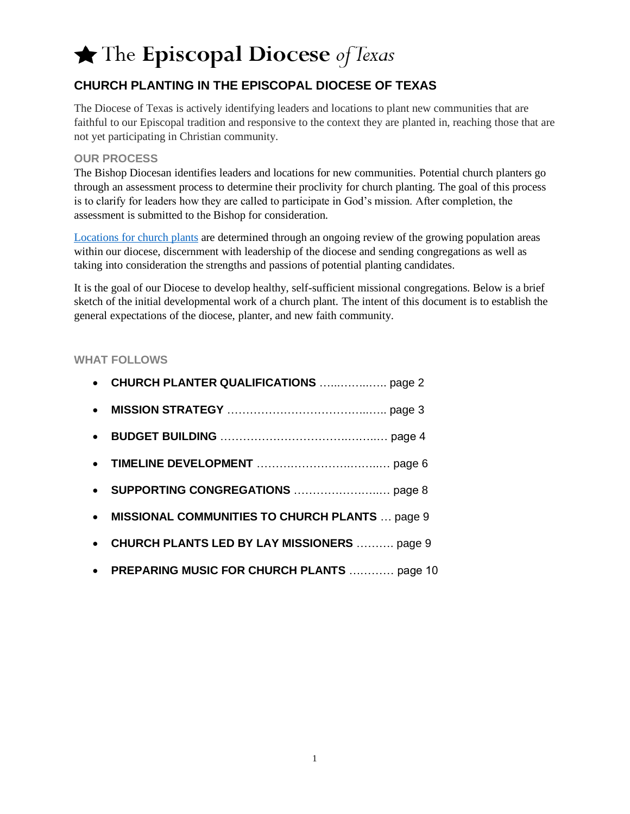### **CHURCH PLANTING IN THE EPISCOPAL DIOCESE OF TEXAS**

The Diocese of Texas is actively identifying leaders and locations to plant new communities that are faithful to our Episcopal tradition and responsive to the context they are planted in, reaching those that are not yet participating in Christian community.

#### **OUR PROCESS**

The Bishop Diocesan identifies leaders and locations for new communities. Potential church planters go through an assessment process to determine their proclivity for church planting. The goal of this process is to clarify for leaders how they are called to participate in God's mission. After completion, the assessment is submitted to the Bishop for consideration.

[Locations for church plants](https://www.epicenter.org/churchplanting/) are determined through an ongoing review of the growing population areas within our diocese, discernment with leadership of the diocese and sending congregations as well as taking into consideration the strengths and passions of potential planting candidates.

It is the goal of our Diocese to develop healthy, self-sufficient missional congregations. Below is a brief sketch of the initial developmental work of a church plant. The intent of this document is to establish the general expectations of the diocese, planter, and new faith community.

#### **WHAT FOLLOWS**

| $\bullet$ |                                                    |
|-----------|----------------------------------------------------|
|           |                                                    |
|           |                                                    |
|           |                                                    |
|           | • MISSIONAL COMMUNITIES TO CHURCH PLANTS  page 9   |
| $\bullet$ | <b>CHURCH PLANTS LED BY LAY MISSIONERS  page 9</b> |
|           | • PREPARING MUSIC FOR CHURCH PLANTS  page 10       |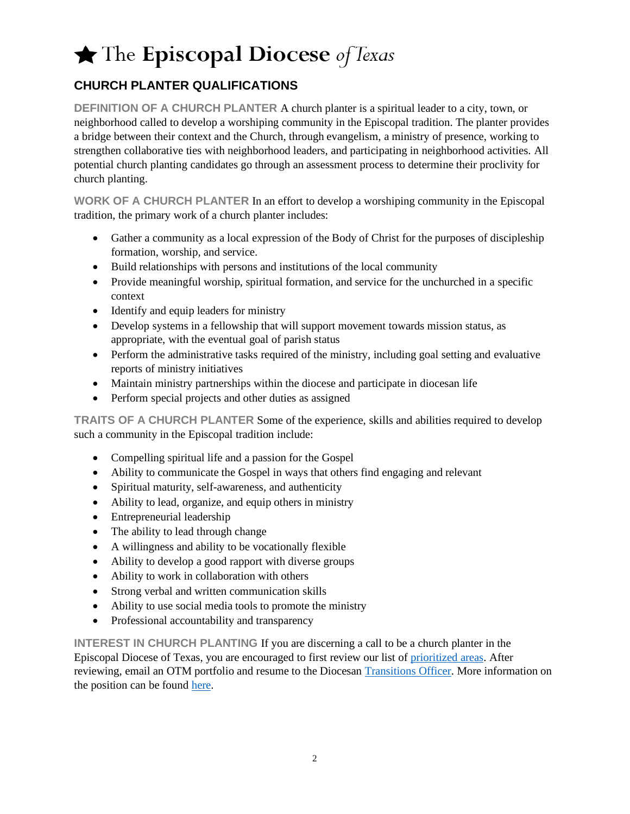### **CHURCH PLANTER QUALIFICATIONS**

**DEFINITION OF A CHURCH PLANTER** A church planter is a spiritual leader to a city, town, or neighborhood called to develop a worshiping community in the Episcopal tradition. The planter provides a bridge between their context and the Church, through evangelism, a ministry of presence, working to strengthen collaborative ties with neighborhood leaders, and participating in neighborhood activities. All potential church planting candidates go through an assessment process to determine their proclivity for church planting.

**WORK OF A CHURCH PLANTER** In an effort to develop a worshiping community in the Episcopal tradition, the primary work of a church planter includes:

- Gather a community as a local expression of the Body of Christ for the purposes of discipleship formation, worship, and service.
- Build relationships with persons and institutions of the local community
- Provide meaningful worship, spiritual formation, and service for the unchurched in a specific context
- Identify and equip leaders for ministry
- Develop systems in a fellowship that will support movement towards mission status, as appropriate, with the eventual goal of parish status
- Perform the administrative tasks required of the ministry, including goal setting and evaluative reports of ministry initiatives
- Maintain ministry partnerships within the diocese and participate in diocesan life
- Perform special projects and other duties as assigned

**TRAITS OF A CHURCH PLANTER** Some of the experience, skills and abilities required to develop such a community in the Episcopal tradition include:

- Compelling spiritual life and a passion for the Gospel
- Ability to communicate the Gospel in ways that others find engaging and relevant
- Spiritual maturity, self-awareness, and authenticity
- Ability to lead, organize, and equip others in ministry
- Entrepreneurial leadership
- The ability to lead through change
- A willingness and ability to be vocationally flexible
- Ability to develop a good rapport with diverse groups
- Ability to work in collaboration with others
- Strong verbal and written communication skills
- Ability to use social media tools to promote the ministry
- Professional accountability and transparency

**INTEREST IN CHURCH PLANTING** If you are discerning a call to be a church planter in the Episcopal Diocese of Texas, you are encouraged to first review our list of [prioritized areas.](https://www.epicenter.org/churchplanting/) After reviewing, email an OTM portfolio and resume to the Diocesan [Transitions Officer.](https://www.epicenter.org/congregational-life/transition-ministry/about-transition-ministry/) More information on the position can be found [here.](https://28f7fb3fa1a43717a53b-cb342165bfeaa4f2927aec8e5d7de41f.ssl.cf2.rackcdn.com/uploaded/j/0e8276301_1548174146_job-post-20190120-church-planter-job-description.pdf)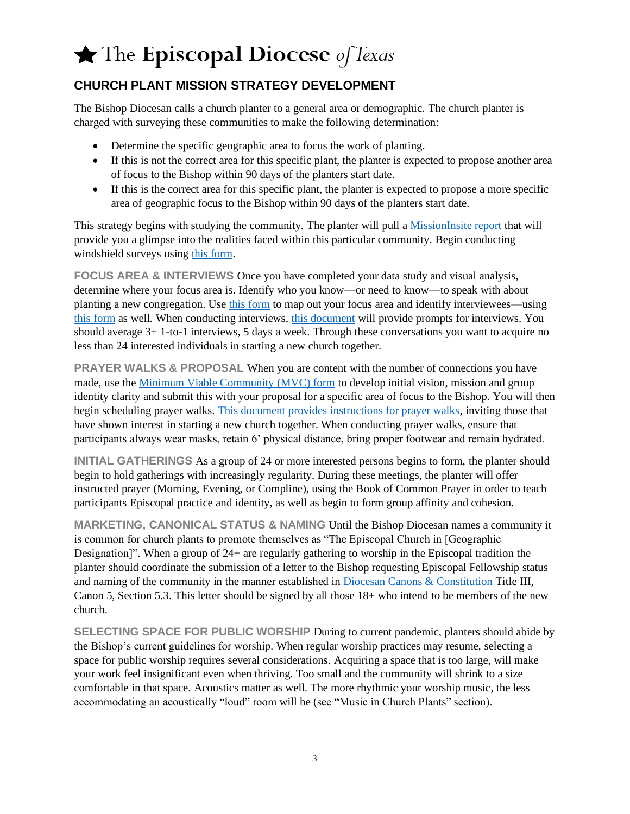### **CHURCH PLANT MISSION STRATEGY DEVELOPMENT**

The Bishop Diocesan calls a church planter to a general area or demographic. The church planter is charged with surveying these communities to make the following determination:

- Determine the specific geographic area to focus the work of planting.
- If this is not the correct area for this specific plant, the planter is expected to propose another area of focus to the Bishop within 90 days of the planters start date.
- If this is the correct area for this specific plant, the planter is expected to propose a more specific area of geographic focus to the Bishop within 90 days of the planters start date.

This strategy begins with studying the community. The planter will pull [a MissionInsite](https://28f7fb3fa1a43717a53b-cb342165bfeaa4f2927aec8e5d7de41f.ssl.cf2.rackcdn.com/uploaded/r/0e9220427_1568046833_register-for-mi.pdf) report that will provide you a glimpse into the realities faced within this particular community. Begin conducting windshield surveys using [this form.](https://28f7fb3fa1a43717a53b-cb342165bfeaa4f2927aec8e5d7de41f.ssl.cf2.rackcdn.com/uploaded/m/0e6761876_1511196704_mc-neighborhood-mapping.pdf)

**FOCUS AREA & INTERVIEWS** Once you have completed your data study and visual analysis, determine where your focus area is. Identify who you know—or need to know—to speak with about planting a new congregation. Use [this form](https://28f7fb3fa1a43717a53b-cb342165bfeaa4f2927aec8e5d7de41f.ssl.cf2.rackcdn.com/uploaded/m/0e6757120_1510951099_mc-relationship-inventory.pdf) to map out your focus area and identify interviewees—using [this form](https://28f7fb3fa1a43717a53b-cb342165bfeaa4f2927aec8e5d7de41f.ssl.cf2.rackcdn.com/uploaded/p/0e10742480_1596399012_power-mapping.pdf) as well. When conducting interviews, [this document](https://28f7fb3fa1a43717a53b-cb342165bfeaa4f2927aec8e5d7de41f.ssl.cf2.rackcdn.com/uploaded/o/0e6756974_1510950246_one-to-onestec.pdf) will provide prompts for interviews. You should average 3+ 1-to-1 interviews, 5 days a week. Through these conversations you want to acquire no less than 24 interested individuals in starting a new church together.

**PRAYER WALKS & PROPOSAL When you are content with the number of connections you have** made, use the [Minimum Viable Community \(MVC\) form](https://github.com/communitycanvas/documents/raw/master/CommunityCanvas-MinimumViableCommunity.pdf) to develop initial vision, mission and group identity clarity and submit this with your proposal for a specific area of focus to the Bishop. You will then begin scheduling prayer walks. [This document provides instructions for prayer walks,](https://28f7fb3fa1a43717a53b-cb342165bfeaa4f2927aec8e5d7de41f.ssl.cf2.rackcdn.com/uploaded/p/0e6756975_1510950246_prayer-walkingtkctemplate.pdf) inviting those that have shown interest in starting a new church together. When conducting prayer walks, ensure that participants always wear masks, retain 6' physical distance, bring proper footwear and remain hydrated.

**INITIAL GATHERINGS** As a group of 24 or more interested persons begins to form, the planter should begin to hold gatherings with increasingly regularity. During these meetings, the planter will offer instructed prayer (Morning, Evening, or Compline), using the Book of Common Prayer in order to teach participants Episcopal practice and identity, as well as begin to form group affinity and cohesion.

**MARKETING, CANONICAL STATUS & NAMING** Until the Bishop Diocesan names a community it is common for church plants to promote themselves as "The Episcopal Church in [Geographic Designation]". When a group of 24+ are regularly gathering to worship in the Episcopal tradition the planter should coordinate the submission of a letter to the Bishop requesting Episcopal Fellowship status and naming of the community in the manner established in [Diocesan Canons & Constitution](https://28f7fb3fa1a43717a53b-cb342165bfeaa4f2927aec8e5d7de41f.ssl.cf2.rackcdn.com/uploaded/e/0e8252646_1547576835_edot-constitution-canons-2018.pdf) Title III, Canon 5, Section 5.3. This letter should be signed by all those 18+ who intend to be members of the new church.

**SELECTING SPACE FOR PUBLIC WORSHIP** During to current pandemic, planters should abide by the Bishop's current guidelines for worship. When regular worship practices may resume, selecting a space for public worship requires several considerations. Acquiring a space that is too large, will make your work feel insignificant even when thriving. Too small and the community will shrink to a size comfortable in that space. Acoustics matter as well. The more rhythmic your worship music, the less accommodating an acoustically "loud" room will be (see "Music in Church Plants" section).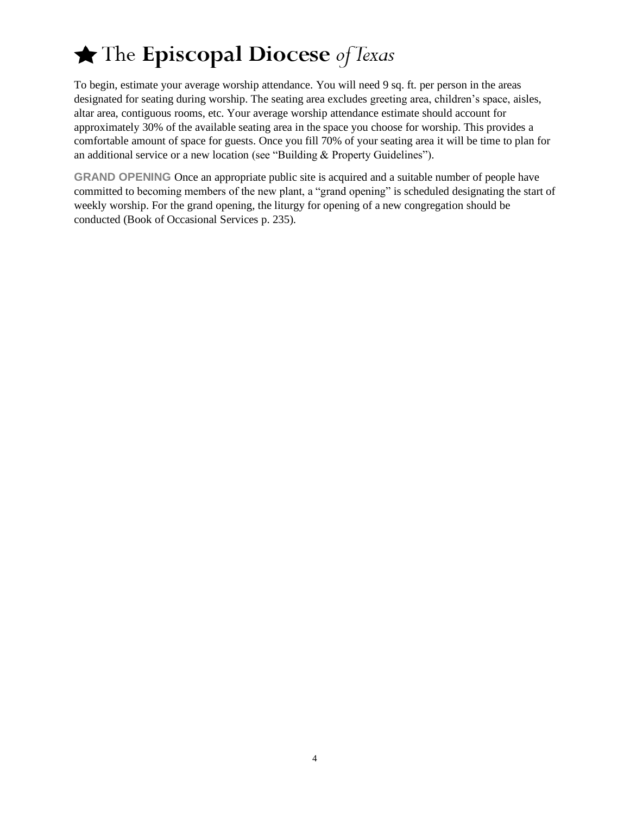To begin, estimate your average worship attendance. You will need 9 sq. ft. per person in the areas designated for seating during worship. The seating area excludes greeting area, children's space, aisles, altar area, contiguous rooms, etc. Your average worship attendance estimate should account for approximately 30% of the available seating area in the space you choose for worship. This provides a comfortable amount of space for guests. Once you fill 70% of your seating area it will be time to plan for an additional service or a new location (see "Building & Property Guidelines").

**GRAND OPENING** Once an appropriate public site is acquired and a suitable number of people have committed to becoming members of the new plant, a "grand opening" is scheduled designating the start of weekly worship. For the grand opening, the liturgy for opening of a new congregation should be conducted (Book of Occasional Services p. 235).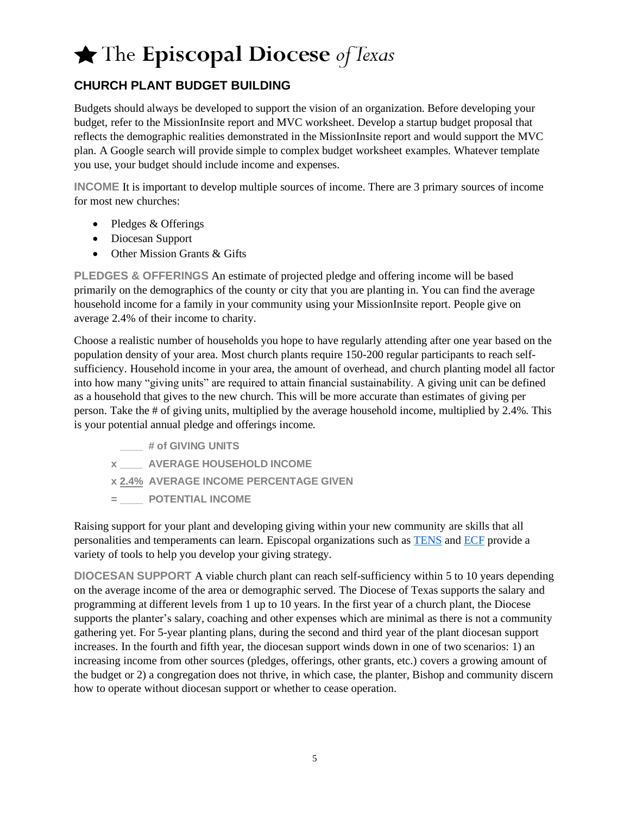### **CHURCH PLANT BUDGET BUILDING**

Budgets should always be developed to support the vision of an organization. Before developing your budget, refer to the MissionInsite report and MVC worksheet. Develop a startup budget proposal that reflects the demographic realities demonstrated in the MissionInsite report and would support the MVC plan. A Google search will provide simple to complex budget worksheet examples. Whatever template you use, your budget should include income and expenses.

**INCOME** It is important to develop multiple sources of income. There are 3 primary sources of income for most new churches:

- Pledges & Offerings
- Diocesan Support
- Other Mission Grants & Gifts

**PLEDGES & OFFERINGS** An estimate of projected pledge and offering income will be based primarily on the demographics of the county or city that you are planting in. You can find the average household income for a family in your community using your MissionInsite report. People give on average 2.4% of their income to charity.

Choose a realistic number of households you hope to have regularly attending after one year based on the population density of your area. Most church plants require 150-200 regular participants to reach selfsufficiency. Household income in your area, the amount of overhead, and church planting model all factor into how many "giving units" are required to attain financial sustainability. A giving unit can be defined as a household that gives to the new church. This will be more accurate than estimates of giving per person. Take the # of giving units, multiplied by the average household income, multiplied by 2.4%. This is your potential annual pledge and offerings income.

- **\_\_\_\_ # of GIVING UNITS**
- **x \_\_\_\_ AVERAGE HOUSEHOLD INCOME**
- **x 2.4% AVERAGE INCOME PERCENTAGE GIVEN**
- **= \_\_\_\_ POTENTIAL INCOME**

Raising support for your plant and developing giving within your new community are skills that all personalities and temperaments can learn. Episcopal organizations such as [TENS](https://www.tens.org/) and [ECF](https://www.episcopalfoundation.org/programs/ecf-publications/frg) provide a variety of tools to help you develop your giving strategy.

**DIOCESAN SUPPORT** A viable church plant can reach self-sufficiency within 5 to 10 years depending on the average income of the area or demographic served. The Diocese of Texas supports the salary and programming at different levels from 1 up to 10 years. In the first year of a church plant, the Diocese supports the planter's salary, coaching and other expenses which are minimal as there is not a community gathering yet. For 5-year planting plans, during the second and third year of the plant diocesan support increases. In the fourth and fifth year, the diocesan support winds down in one of two scenarios: 1) an increasing income from other sources (pledges, offerings, other grants, etc.) covers a growing amount of the budget or 2) a congregation does not thrive, in which case, the planter, Bishop and community discern how to operate without diocesan support or whether to cease operation.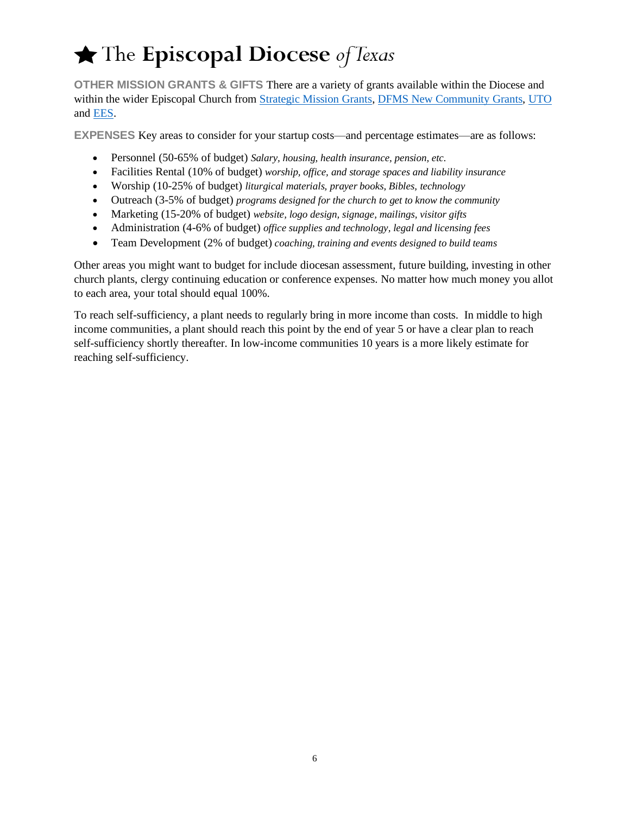**OTHER MISSION GRANTS & GIFTS** There are a variety of grants available within the Diocese and within the wider Episcopal Church from [Strategic Mission Grants,](https://www.smgedot.org/) [DFMS New Community](https://episcopalchurch.org/new-episcopal-communities/grants) Grants, [UTO](https://episcopalchurch.org/grants/uto) and [EES.](http://www.ees1862.org/)

**EXPENSES** Key areas to consider for your startup costs—and percentage estimates—are as follows:

- Personnel (50-65% of budget) *Salary, housing, health insurance, pension, etc.*
- Facilities Rental (10% of budget) *worship, office, and storage spaces and liability insurance*
- Worship (10-25% of budget) *liturgical materials, prayer books, Bibles, technology*
- Outreach (3-5% of budget) *programs designed for the church to get to know the community*
- Marketing (15-20% of budget) *website, logo design, signage, mailings, visitor gifts*
- Administration (4-6% of budget) *office supplies and technology, legal and licensing fees*
- Team Development (2% of budget) *coaching, training and events designed to build teams*

Other areas you might want to budget for include diocesan assessment, future building, investing in other church plants, clergy continuing education or conference expenses. No matter how much money you allot to each area, your total should equal 100%.

To reach self-sufficiency, a plant needs to regularly bring in more income than costs. In middle to high income communities, a plant should reach this point by the end of year 5 or have a clear plan to reach self-sufficiency shortly thereafter. In low-income communities 10 years is a more likely estimate for reaching self-sufficiency.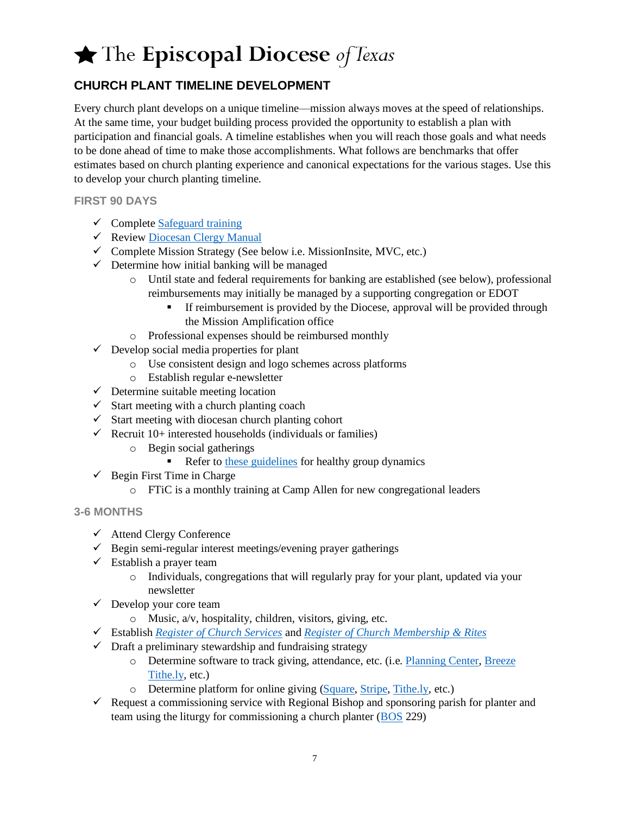### **CHURCH PLANT TIMELINE DEVELOPMENT**

Every church plant develops on a unique timeline—mission always moves at the speed of relationships. At the same time, your budget building process provided the opportunity to establish a plan with participation and financial goals. A timeline establishes when you will reach those goals and what needs to be done ahead of time to make those accomplishments. What follows are benchmarks that offer estimates based on church planting experience and canonical expectations for the various stages. Use this to develop your church planting timeline.

**FIRST 90 DAYS**

- $\checkmark$  Complet[e Safeguard training](https://www.epicenter.org/safeguarding/home/)
- $\checkmark$  Review [Diocesan Clergy Manual](https://www.epicenter.org/clergymanual/)
- $\checkmark$  Complete Mission Strategy (See below i.e. MissionInsite, MVC, etc.)
- $\checkmark$  Determine how initial banking will be managed
	- o Until state and federal requirements for banking are established (see below), professional reimbursements may initially be managed by a supporting congregation or EDOT
		- **EXECUTE:** If reimbursement is provided by the Diocese, approval will be provided through the Mission Amplification office
	- o Professional expenses should be reimbursed monthly
- $\checkmark$  Develop social media properties for plant
	- o Use consistent design and logo schemes across platforms
	- o Establish regular e-newsletter
- $\checkmark$  Determine suitable meeting location
- $\checkmark$  Start meeting with a church planting coach
- $\checkmark$  Start meeting with diocesan church planting cohort
- $\checkmark$  Recruit 10+ interested households (individuals or families)
	- o Begin social gatherings
		- Refer to [these guidelines](https://28f7fb3fa1a43717a53b-cb342165bfeaa4f2927aec8e5d7de41f.ssl.cf2.rackcdn.com/uploaded/m/0e6757040_1510950443_mc-group-dynamics.pdf) for healthy group dynamics
- $\checkmark$  Begin First Time in Charge
	- o FTiC is a monthly training at Camp Allen for new congregational leaders

#### **3-6 MONTHS**

- ✓ Attend Clergy Conference
- $\checkmark$  Begin semi-regular interest meetings/evening prayer gatherings
- $\checkmark$  Establish a prayer team
	- o Individuals, congregations that will regularly pray for your plant, updated via your newsletter
- $\checkmark$  Develop your core team
	- $\circ$  Music,  $a/v$ , hospitality, children, visitors, giving, etc.
- ✓ Establish *[Register of Church Services](https://www.churchpublishing.org/products/registerofchurchservices)* and *[Register of Church Membership & Rites](https://www.churchpublishing.org/products/registerofchurchmembershipandrites)*
- $\checkmark$  Draft a preliminary stewardship and fundraising strategy
	- o Determine software to track giving, attendance, etc. (i.e. [Planning Center,](https://www.planningcenter.com/) [Breeze](https://www.breezechms.com/) [Tithe.ly,](https://get.tithe.ly/) etc.)
	- o Determine platform for online giving [\(Square,](https://squareup.com/help/us/en/article/6397-use-square-as-a-nonprofit) [Stripe,](https://support.stripe.com/questions/fee-discount-for-nonprofit-organizations) [Tithe.ly,](https://get.tithe.ly/) etc.)
- $\checkmark$  Request a commissioning service with Regional Bishop and sponsoring parish for planter and team using the liturgy for commissioning a church planter [\(BOS](https://episcopalchurch.org/files/lm_book_of_occasional_services_2018.pdf) 229)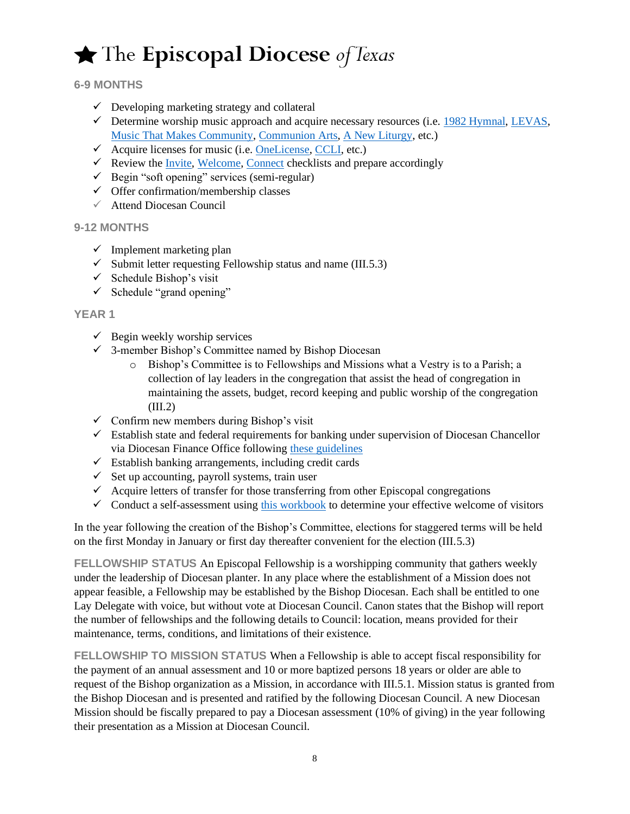## $\bigstar$  The Episcopal Diocese of Texas

#### **6-9 MONTHS**

- $\checkmark$  Developing marketing strategy and collateral
- $\checkmark$  Determine worship music approach and acquire necessary resources (i.e. [1982 Hymnal,](https://www.churchpublishing.org/hymnalpewblue) [LEVAS,](https://www.churchpublishing.org/products/lifteveryvoiceandsingii) [Music That Makes Community,](https://www.musicthatmakescommunity.org/) [Communion Arts,](http://communionarts.org/) [A New Liturgy,](http://anewliturgy.com/) etc.)
- $\checkmark$  Acquire licenses for music (i.e. [OneLicense,](https://www.onelicense.net/) [CCLI,](https://us.ccli.com/) etc.)
- $\checkmark$  Review th[e Invite,](https://cd298418-3d46-418c-bb2f-346f674fe49f.filesusr.com/ugd/771f72_fedc4b134d6b40a7aebae878fbd656cf.pdf) [Welcome,](https://cd298418-3d46-418c-bb2f-346f674fe49f.filesusr.com/ugd/771f72_3ac9eb8311074544aebea7368ff2785c.pdf) [Connect](https://cd298418-3d46-418c-bb2f-346f674fe49f.filesusr.com/ugd/771f72_8a64a87dbe184c8a8900405f92530cc7.pdf) checklists and prepare accordingly
- $\checkmark$  Begin "soft opening" services (semi-regular)
- $\checkmark$  Offer confirmation/membership classes
- $\checkmark$  Attend Diocesan Council

#### **9-12 MONTHS**

- $\checkmark$  Implement marketing plan
- $\checkmark$  Submit letter requesting Fellowship status and name (III.5.3)
- $\checkmark$  Schedule Bishop's visit
- $\checkmark$  Schedule "grand opening"

#### **YEAR 1**

- $\checkmark$  Begin weekly worship services
- $\checkmark$  3-member Bishop's Committee named by Bishop Diocesan
	- o Bishop's Committee is to Fellowships and Missions what a Vestry is to a Parish; a collection of lay leaders in the congregation that assist the head of congregation in maintaining the assets, budget, record keeping and public worship of the congregation  $(III.2)$
- $\checkmark$  Confirm new members during Bishop's visit
- $\checkmark$  Establish state and federal requirements for banking under supervision of Diocesan Chancellor via Diocesan Finance Office following [these guidelines](https://28f7fb3fa1a43717a53b-cb342165bfeaa4f2927aec8e5d7de41f.ssl.cf2.rackcdn.com/uploaded/c/0e11022607_1602084481_church-planting-basic-steps-registrar.pdf)
- $\checkmark$  Establish banking arrangements, including credit cards
- $\checkmark$  Set up accounting, payroll systems, train user
- $\checkmark$  Acquire letters of transfer for those transferring from other Episcopal congregations
- $\checkmark$  Conduct a self-assessment using this [workbook](https://resources.depaul.edu/abcd-institute/resources/Documents/WelcomWorkbook_final.pdf) to determine your effective welcome of visitors

In the year following the creation of the Bishop's Committee, elections for staggered terms will be held on the first Monday in January or first day thereafter convenient for the election (III.5.3)

**FELLOWSHIP STATUS** An Episcopal Fellowship is a worshipping community that gathers weekly under the leadership of Diocesan planter. In any place where the establishment of a Mission does not appear feasible, a Fellowship may be established by the Bishop Diocesan. Each shall be entitled to one Lay Delegate with voice, but without vote at Diocesan Council. Canon states that the Bishop will report the number of fellowships and the following details to Council: location, means provided for their maintenance, terms, conditions, and limitations of their existence.

**FELLOWSHIP TO MISSION STATUS** When a Fellowship is able to accept fiscal responsibility for the payment of an annual assessment and 10 or more baptized persons 18 years or older are able to request of the Bishop organization as a Mission, in accordance with III.5.1. Mission status is granted from the Bishop Diocesan and is presented and ratified by the following Diocesan Council. A new Diocesan Mission should be fiscally prepared to pay a Diocesan assessment (10% of giving) in the year following their presentation as a Mission at Diocesan Council.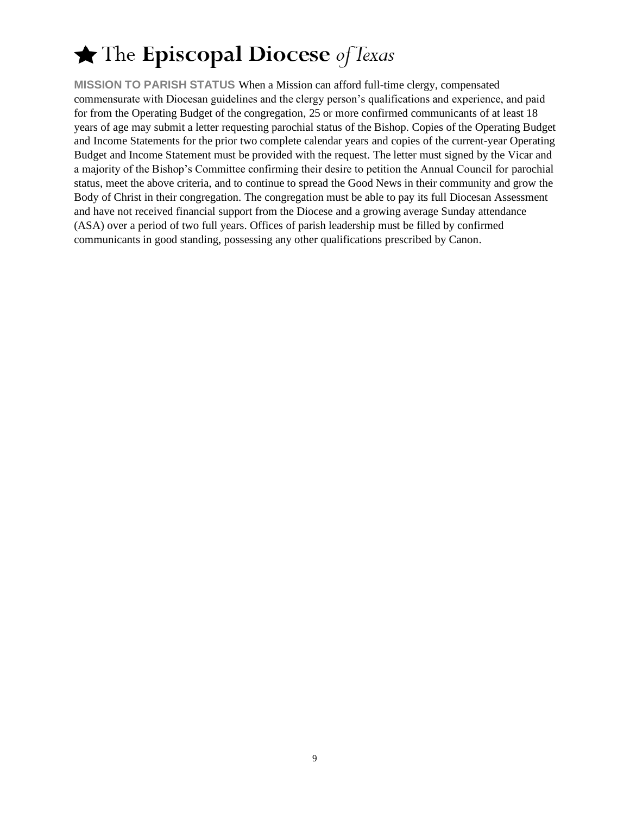**MISSION TO PARISH STATUS** When a Mission can afford full-time clergy, compensated commensurate with Diocesan guidelines and the clergy person's qualifications and experience, and paid for from the Operating Budget of the congregation, 25 or more confirmed communicants of at least 18 years of age may submit a letter requesting parochial status of the Bishop. Copies of the Operating Budget and Income Statements for the prior two complete calendar years and copies of the current-year Operating Budget and Income Statement must be provided with the request. The letter must signed by the Vicar and a majority of the Bishop's Committee confirming their desire to petition the Annual Council for parochial status, meet the above criteria, and to continue to spread the Good News in their community and grow the Body of Christ in their congregation. The congregation must be able to pay its full Diocesan Assessment and have not received financial support from the Diocese and a growing average Sunday attendance (ASA) over a period of two full years. Offices of parish leadership must be filled by confirmed communicants in good standing, possessing any other qualifications prescribed by Canon.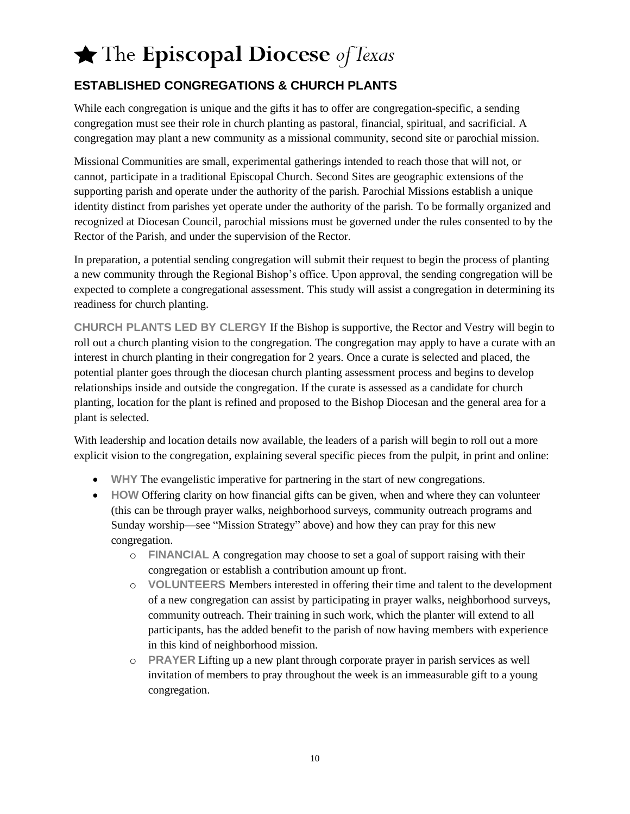## $\bigstar$  The Episcopal Diocese of Texas

### **ESTABLISHED CONGREGATIONS & CHURCH PLANTS**

While each congregation is unique and the gifts it has to offer are congregation-specific, a sending congregation must see their role in church planting as pastoral, financial, spiritual, and sacrificial. A congregation may plant a new community as a missional community, second site or parochial mission.

Missional Communities are small, experimental gatherings intended to reach those that will not, or cannot, participate in a traditional Episcopal Church. Second Sites are geographic extensions of the supporting parish and operate under the authority of the parish. Parochial Missions establish a unique identity distinct from parishes yet operate under the authority of the parish. To be formally organized and recognized at Diocesan Council, parochial missions must be governed under the rules consented to by the Rector of the Parish, and under the supervision of the Rector.

In preparation, a potential sending congregation will submit their request to begin the process of planting a new community through the Regional Bishop's office. Upon approval, the sending congregation will be expected to complete a congregational assessment. This study will assist a congregation in determining its readiness for church planting.

**CHURCH PLANTS LED BY CLERGY** If the Bishop is supportive, the Rector and Vestry will begin to roll out a church planting vision to the congregation. The congregation may apply to have a curate with an interest in church planting in their congregation for 2 years. Once a curate is selected and placed, the potential planter goes through the diocesan church planting assessment process and begins to develop relationships inside and outside the congregation. If the curate is assessed as a candidate for church planting, location for the plant is refined and proposed to the Bishop Diocesan and the general area for a plant is selected.

With leadership and location details now available, the leaders of a parish will begin to roll out a more explicit vision to the congregation, explaining several specific pieces from the pulpit, in print and online:

- **WHY** The evangelistic imperative for partnering in the start of new congregations.
- **HOW** Offering clarity on how financial gifts can be given, when and where they can volunteer (this can be through prayer walks, neighborhood surveys, community outreach programs and Sunday worship—see "Mission Strategy" above) and how they can pray for this new congregation.
	- o **FINANCIAL** A congregation may choose to set a goal of support raising with their congregation or establish a contribution amount up front.
	- o **VOLUNTEERS** Members interested in offering their time and talent to the development of a new congregation can assist by participating in prayer walks, neighborhood surveys, community outreach. Their training in such work, which the planter will extend to all participants, has the added benefit to the parish of now having members with experience in this kind of neighborhood mission.
	- o **PRAYER** Lifting up a new plant through corporate prayer in parish services as well invitation of members to pray throughout the week is an immeasurable gift to a young congregation.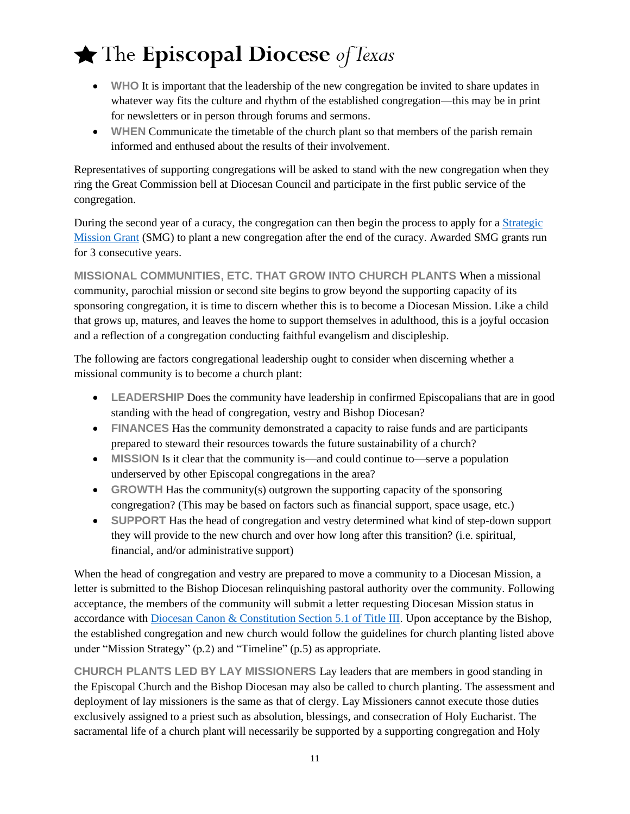- WHO It is important that the leadership of the new congregation be invited to share updates in whatever way fits the culture and rhythm of the established congregation—this may be in print for newsletters or in person through forums and sermons.
- **WHEN** Communicate the timetable of the church plant so that members of the parish remain informed and enthused about the results of their involvement.

Representatives of supporting congregations will be asked to stand with the new congregation when they ring the Great Commission bell at Diocesan Council and participate in the first public service of the congregation.

During the second year of a curacy, the congregation can then begin the process to apply for a [Strategic](https://www.smgedot.org/)  [Mission Grant](https://www.smgedot.org/) (SMG) to plant a new congregation after the end of the curacy. Awarded SMG grants run for 3 consecutive years.

**MISSIONAL COMMUNITIES, ETC. THAT GROW INTO CHURCH PLANTS** When a missional community, parochial mission or second site begins to grow beyond the supporting capacity of its sponsoring congregation, it is time to discern whether this is to become a Diocesan Mission. Like a child that grows up, matures, and leaves the home to support themselves in adulthood, this is a joyful occasion and a reflection of a congregation conducting faithful evangelism and discipleship.

The following are factors congregational leadership ought to consider when discerning whether a missional community is to become a church plant:

- **LEADERSHIP** Does the community have leadership in confirmed Episcopalians that are in good standing with the head of congregation, vestry and Bishop Diocesan?
- **FINANCES** Has the community demonstrated a capacity to raise funds and are participants prepared to steward their resources towards the future sustainability of a church?
- **MISSION** Is it clear that the community is—and could continue to—serve a population underserved by other Episcopal congregations in the area?
- **GROWTH** Has the community(s) outgrown the supporting capacity of the sponsoring congregation? (This may be based on factors such as financial support, space usage, etc.)
- **SUPPORT** Has the head of congregation and vestry determined what kind of step-down support they will provide to the new church and over how long after this transition? (i.e. spiritual, financial, and/or administrative support)

When the head of congregation and vestry are prepared to move a community to a Diocesan Mission, a letter is submitted to the Bishop Diocesan relinquishing pastoral authority over the community. Following acceptance, the members of the community will submit a letter requesting Diocesan Mission status in accordance with [Diocesan Canon & Constitution Section 5.1 of Title III.](https://28f7fb3fa1a43717a53b-cb342165bfeaa4f2927aec8e5d7de41f.ssl.cf2.rackcdn.com/uploaded/c/0e473207_1581362309_constitution-canons.pdf) Upon acceptance by the Bishop, the established congregation and new church would follow the guidelines for church planting listed above under "Mission Strategy" (p.2) and "Timeline" (p.5) as appropriate.

**CHURCH PLANTS LED BY LAY MISSIONERS** Lay leaders that are members in good standing in the Episcopal Church and the Bishop Diocesan may also be called to church planting. The assessment and deployment of lay missioners is the same as that of clergy. Lay Missioners cannot execute those duties exclusively assigned to a priest such as absolution, blessings, and consecration of Holy Eucharist. The sacramental life of a church plant will necessarily be supported by a supporting congregation and Holy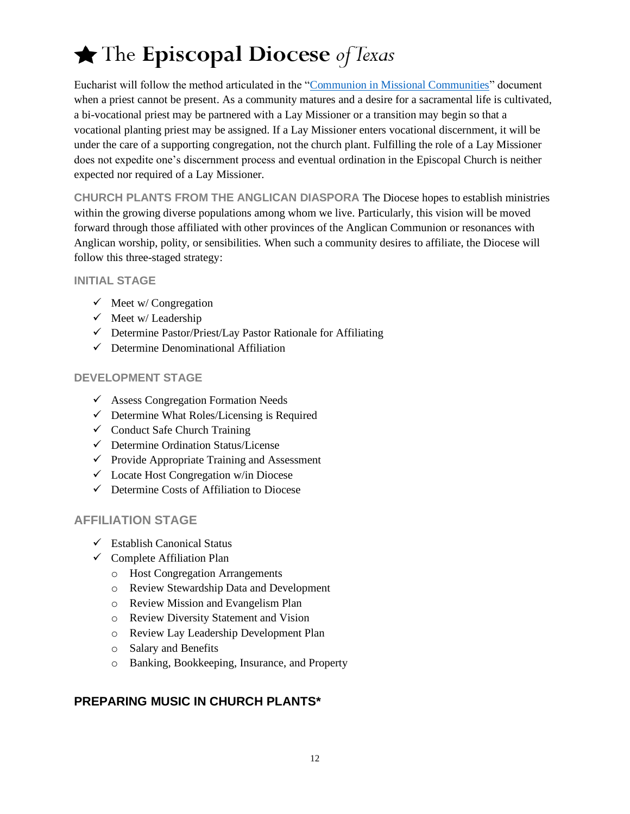Eucharist will follow the method articulated in the ["Communion in Missional Communities"](https://aa86e41e7d951355383b-cb342165bfeaa4f2927aec8e5d7de41f.ssl.cf2.rackcdn.com/uploaded/c/0e5979310_1488385264_communion-for-missional-communities-20170301.pdf) document when a priest cannot be present. As a community matures and a desire for a sacramental life is cultivated, a bi-vocational priest may be partnered with a Lay Missioner or a transition may begin so that a vocational planting priest may be assigned. If a Lay Missioner enters vocational discernment, it will be under the care of a supporting congregation, not the church plant. Fulfilling the role of a Lay Missioner does not expedite one's discernment process and eventual ordination in the Episcopal Church is neither expected nor required of a Lay Missioner.

**CHURCH PLANTS FROM THE ANGLICAN DIASPORA** The Diocese hopes to establish ministries within the growing diverse populations among whom we live. Particularly, this vision will be moved forward through those affiliated with other provinces of the Anglican Communion or resonances with Anglican worship, polity, or sensibilities. When such a community desires to affiliate, the Diocese will follow this three-staged strategy:

#### **INITIAL STAGE**

- $\checkmark$  Meet w/ Congregation
- $\checkmark$  Meet w/ Leadership
- $\checkmark$  Determine Pastor/Priest/Lay Pastor Rationale for Affiliating
- ✓ Determine Denominational Affiliation

#### **DEVELOPMENT STAGE**

- $\checkmark$  Assess Congregation Formation Needs
- $\checkmark$  Determine What Roles/Licensing is Required
- $\checkmark$  Conduct Safe Church Training
- ✓ Determine Ordination Status/License
- $\checkmark$  Provide Appropriate Training and Assessment
- ✓ Locate Host Congregation w/in Diocese
- ✓ Determine Costs of Affiliation to Diocese

#### **AFFILIATION STAGE**

- $\checkmark$  Establish Canonical Status
- $\checkmark$  Complete Affiliation Plan
	- o Host Congregation Arrangements
	- o Review Stewardship Data and Development
	- o Review Mission and Evangelism Plan
	- o Review Diversity Statement and Vision
	- o Review Lay Leadership Development Plan
	- o Salary and Benefits
	- o Banking, Bookkeeping, Insurance, and Property

### **PREPARING MUSIC IN CHURCH PLANTS\***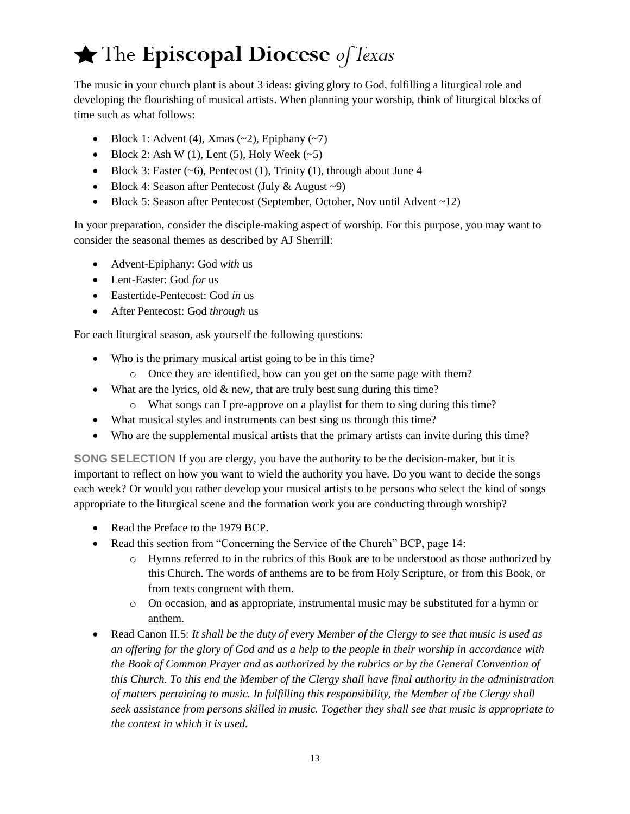The music in your church plant is about 3 ideas: giving glory to God, fulfilling a liturgical role and developing the flourishing of musical artists. When planning your worship, think of liturgical blocks of time such as what follows:

- Block 1: Advent (4), Xmas  $(-2)$ , Epiphany  $(-7)$
- Block 2: Ash W (1), Lent (5), Holy Week  $(-5)$
- Block 3: Easter  $(-6)$ , Pentecost  $(1)$ , Trinity  $(1)$ , through about June 4
- Block 4: Season after Pentecost (July & August ~9)
- Block 5: Season after Pentecost (September, October, Nov until Advent ~12)

In your preparation, consider the disciple-making aspect of worship. For this purpose, you may want to consider the seasonal themes as described by AJ Sherrill:

- Advent-Epiphany: God *with* us
- Lent-Easter: God *for* us
- Eastertide-Pentecost: God *in* us
- After Pentecost: God *through* us

For each liturgical season, ask yourself the following questions:

- Who is the primary musical artist going to be in this time?
	- o Once they are identified, how can you get on the same page with them?
- What are the lyrics, old  $&$  new, that are truly best sung during this time?
	- o What songs can I pre-approve on a playlist for them to sing during this time?
- What musical styles and instruments can best sing us through this time?
- Who are the supplemental musical artists that the primary artists can invite during this time?

**SONG SELECTION** If you are clergy, you have the authority to be the decision-maker, but it is important to reflect on how you want to wield the authority you have. Do you want to decide the songs each week? Or would you rather develop your musical artists to be persons who select the kind of songs appropriate to the liturgical scene and the formation work you are conducting through worship?

- Read the Preface to the 1979 BCP.
- Read this section from "Concerning the Service of the Church" BCP, page 14:
	- o Hymns referred to in the rubrics of this Book are to be understood as those authorized by this Church. The words of anthems are to be from Holy Scripture, or from this Book, or from texts congruent with them.
	- o On occasion, and as appropriate, instrumental music may be substituted for a hymn or anthem.
- Read Canon II.5: *It shall be the duty of every Member of the Clergy to see that music is used as an offering for the glory of God and as a help to the people in their worship in accordance with the Book of Common Prayer and as authorized by the rubrics or by the General Convention of this Church. To this end the Member of the Clergy shall have final authority in the administration of matters pertaining to music. In fulfilling this responsibility, the Member of the Clergy shall seek assistance from persons skilled in music. Together they shall see that music is appropriate to the context in which it is used.*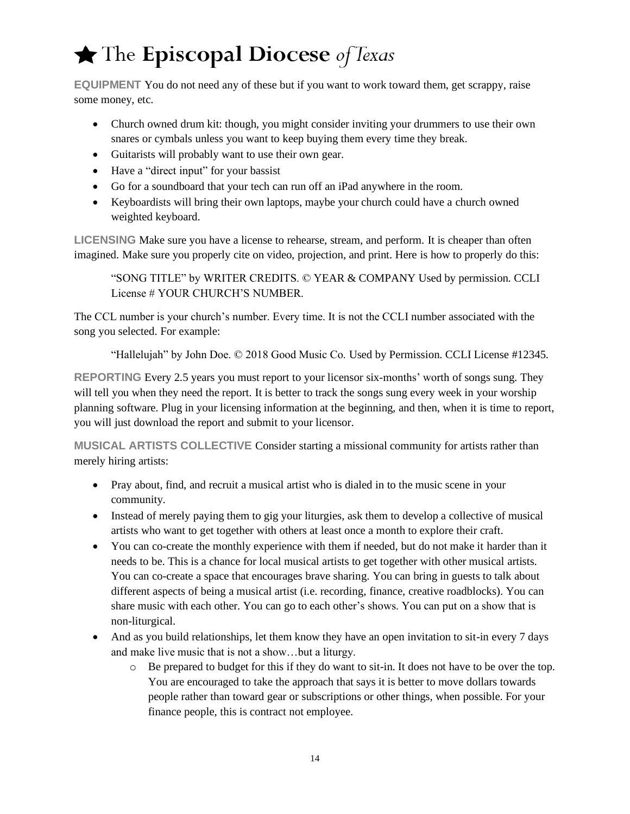**EQUIPMENT** You do not need any of these but if you want to work toward them, get scrappy, raise some money, etc.

- Church owned drum kit: though, you might consider inviting your drummers to use their own snares or cymbals unless you want to keep buying them every time they break.
- Guitarists will probably want to use their own gear.
- Have a "direct input" for your bassist
- Go for a soundboard that your tech can run off an iPad anywhere in the room.
- Keyboardists will bring their own laptops, maybe your church could have a church owned weighted keyboard.

**LICENSING** Make sure you have a license to rehearse, stream, and perform. It is cheaper than often imagined. Make sure you properly cite on video, projection, and print. Here is how to properly do this:

"SONG TITLE" by WRITER CREDITS. © YEAR & COMPANY Used by permission. CCLI License # YOUR CHURCH'S NUMBER.

The CCL number is your church's number. Every time. It is not the CCLI number associated with the song you selected. For example:

"Hallelujah" by John Doe. © 2018 Good Music Co. Used by Permission. CCLI License #12345.

**REPORTING** Every 2.5 years you must report to your licensor six-months' worth of songs sung. They will tell you when they need the report. It is better to track the songs sung every week in your worship planning software. Plug in your licensing information at the beginning, and then, when it is time to report, you will just download the report and submit to your licensor.

**MUSICAL ARTISTS COLLECTIVE** Consider starting a missional community for artists rather than merely hiring artists:

- Pray about, find, and recruit a musical artist who is dialed in to the music scene in your community.
- Instead of merely paying them to gig your liturgies, ask them to develop a collective of musical artists who want to get together with others at least once a month to explore their craft.
- You can co-create the monthly experience with them if needed, but do not make it harder than it needs to be. This is a chance for local musical artists to get together with other musical artists. You can co-create a space that encourages brave sharing. You can bring in guests to talk about different aspects of being a musical artist (i.e. recording, finance, creative roadblocks). You can share music with each other. You can go to each other's shows. You can put on a show that is non-liturgical.
- And as you build relationships, let them know they have an open invitation to sit-in every 7 days and make live music that is not a show…but a liturgy.
	- $\circ$  Be prepared to budget for this if they do want to sit-in. It does not have to be over the top. You are encouraged to take the approach that says it is better to move dollars towards people rather than toward gear or subscriptions or other things, when possible. For your finance people, this is contract not employee.